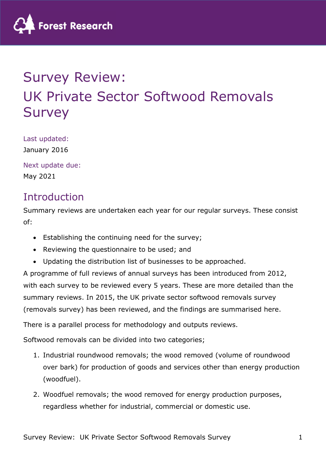

# Survey Review: UK Private Sector Softwood Removals Survey

Last updated: January 2016

Next update due: May 2021

### Introduction

Summary reviews are undertaken each year for our regular surveys. These consist of:

- Establishing the continuing need for the survey;
- Reviewing the questionnaire to be used; and
- Updating the distribution list of businesses to be approached.

A programme of full reviews of annual surveys has been introduced from 2012, with each survey to be reviewed every 5 years. These are more detailed than the summary reviews. In 2015, the UK private sector softwood removals survey (removals survey) has been reviewed, and the findings are summarised here.

There is a parallel process for methodology and outputs reviews.

Softwood removals can be divided into two categories;

- 1. Industrial roundwood removals; the wood removed (volume of roundwood over bark) for production of goods and services other than energy production (woodfuel).
- 2. Woodfuel removals; the wood removed for energy production purposes, regardless whether for industrial, commercial or domestic use.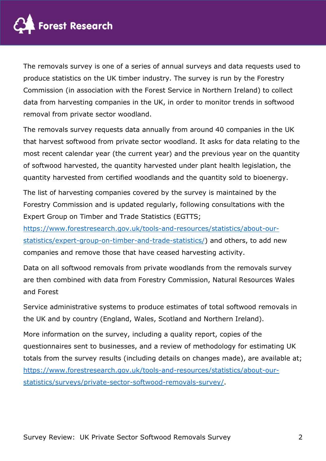

The removals survey is one of a series of annual surveys and data requests used to produce statistics on the UK timber industry. The survey is run by the Forestry Commission (in association with the Forest Service in Northern Ireland) to collect data from harvesting companies in the UK, in order to monitor trends in softwood removal from private sector woodland.

The removals survey requests data annually from around 40 companies in the UK that harvest softwood from private sector woodland. It asks for data relating to the most recent calendar year (the current year) and the previous year on the quantity of softwood harvested, the quantity harvested under plant health legislation, the quantity harvested from certified woodlands and the quantity sold to bioenergy.

The list of harvesting companies covered by the survey is maintained by the Forestry Commission and is updated regularly, following consultations with the Expert Group on Timber and Trade Statistics (EGTTS;

https://www.forestresearch.gov.uk/tools-and-resources/statistics/about-ourstatistics/expert-group-on-timber-and-trade-statistics/) and others, to add new companies and remove those that have ceased harvesting activity.

Data on all softwood removals from private woodlands from the removals survey are then combined with data from Forestry Commission, Natural Resources Wales and Forest

Service administrative systems to produce estimates of total softwood removals in the UK and by country (England, Wales, Scotland and Northern Ireland).

More information on the survey, including a quality report, copies of the questionnaires sent to businesses, and a review of methodology for estimating UK totals from the survey results (including details on changes made), are available at; https://www.forestresearch.gov.uk/tools-and-resources/statistics/about-ourstatistics/surveys/private-sector-softwood-removals-survey/.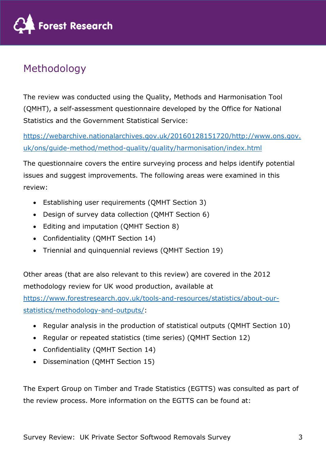

# Methodology

The review was conducted using the Quality, Methods and Harmonisation Tool (QMHT), a self-assessment questionnaire developed by the Office for National Statistics and the Government Statistical Service:

https://webarchive.nationalarchives.gov.uk/20160128151720/http://www.ons.gov. uk/ons/guide-method/method-quality/quality/harmonisation/index.html

The questionnaire covers the entire surveying process and helps identify potential issues and suggest improvements. The following areas were examined in this review:

- Establishing user requirements (QMHT Section 3)
- Design of survey data collection (QMHT Section 6)
- Editing and imputation (QMHT Section 8)
- Confidentiality (QMHT Section 14)
- Triennial and quinquennial reviews (QMHT Section 19)

Other areas (that are also relevant to this review) are covered in the 2012 methodology review for UK wood production, available at

https://www.forestresearch.gov.uk/tools-and-resources/statistics/about-ourstatistics/methodology-and-outputs/:

- Regular analysis in the production of statistical outputs (QMHT Section 10)
- Regular or repeated statistics (time series) (QMHT Section 12)
- Confidentiality (QMHT Section 14)
- Dissemination (QMHT Section 15)

The Expert Group on Timber and Trade Statistics (EGTTS) was consulted as part of the review process. More information on the EGTTS can be found at: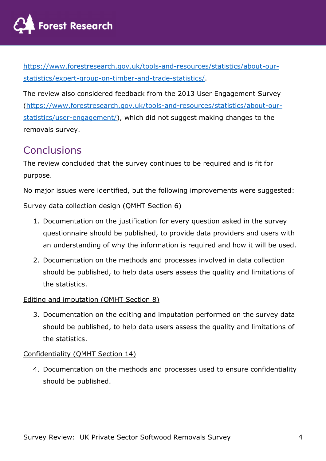

https://www.forestresearch.gov.uk/tools-and-resources/statistics/about-ourstatistics/expert-group-on-timber-and-trade-statistics/.

The review also considered feedback from the 2013 User Engagement Survey (https://www.forestresearch.gov.uk/tools-and-resources/statistics/about-ourstatistics/user-engagement/), which did not suggest making changes to the removals survey.

### **Conclusions**

The review concluded that the survey continues to be required and is fit for purpose.

No major issues were identified, but the following improvements were suggested:

#### Survey data collection design (QMHT Section 6)

- 1. Documentation on the justification for every question asked in the survey questionnaire should be published, to provide data providers and users with an understanding of why the information is required and how it will be used.
- 2. Documentation on the methods and processes involved in data collection should be published, to help data users assess the quality and limitations of the statistics.

#### Editing and imputation (QMHT Section 8)

3. Documentation on the editing and imputation performed on the survey data should be published, to help data users assess the quality and limitations of the statistics.

#### Confidentiality (QMHT Section 14)

4. Documentation on the methods and processes used to ensure confidentiality should be published.